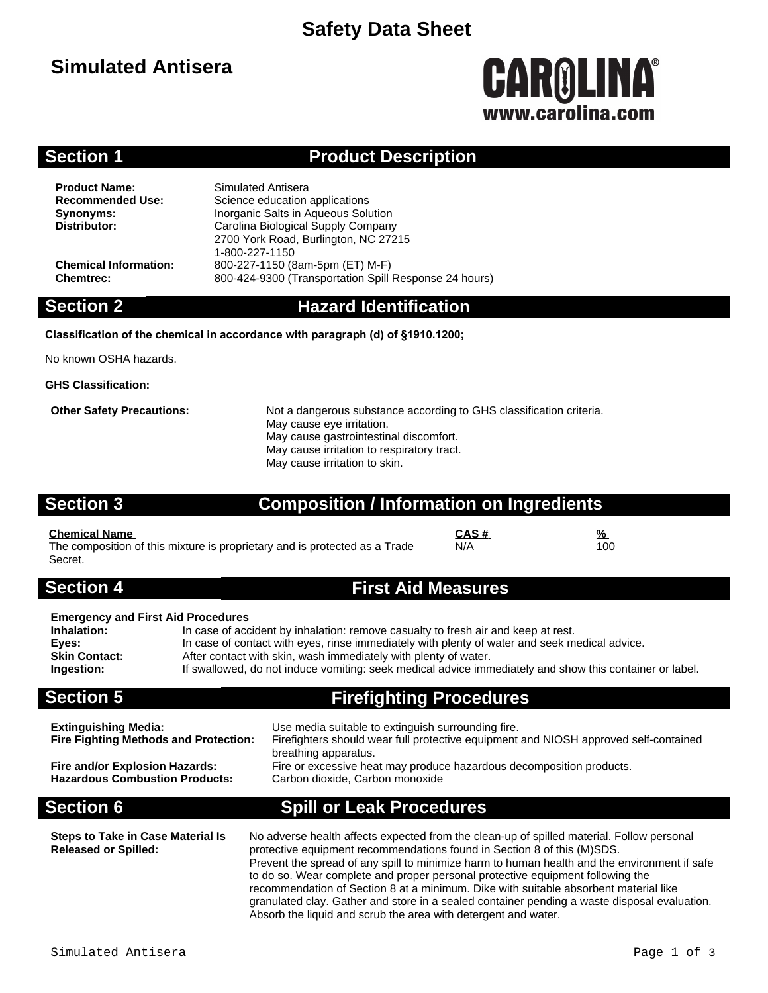# **Safety Data Sheet**

# **Simulated Antisera**

# CAROLINA® www.carolina.co

### **Section 1 Product Description**

**Product Name:** Simulated Antisera<br> **Recommended Use:** Science education

**Science education applications Synonyms:** Inorganic Salts in Aqueous Solution<br>
Distributor: Carolina Biological Supply Company **Distributor:** Carolina Biological Supply Company 2700 York Road, Burlington, NC 27215 1-800-227-1150 **Chemical Information:** 800-227-1150 (8am-5pm (ET) M-F) **Chemtrec:** 800-424-9300 (Transportation Spill Response 24 hours)

### **Section 2 Hazard Identification**

### **Classification of the chemical in accordance with paragraph (d) of §1910.1200;**

No known OSHA hazards.

**GHS Classification:**

**Other Safety Precautions:** Not a dangerous substance according to GHS classification criteria. May cause eye irritation. May cause gastrointestinal discomfort. May cause irritation to respiratory tract. May cause irritation to skin.

### **Section 3 Composition / Information on Ingredients**

**Chemical Name CAS # %** The composition of this mixture is proprietary and is protected as a Trade Secret.

### **Section 4 First Aid Measures**

N/A 100

### **Emergency and First Aid Procedures**

**Inhalation:** In case of accident by inhalation: remove casualty to fresh air and keep at rest.<br>**Eyes:** In case of contact with eyes, rinse immediately with plenty of water and seek m **Eyes:** In case of contact with eyes, rinse immediately with plenty of water and seek medical advice.<br>**Skin Contact:** After contact with skin, wash immediately with plenty of water. After contact with skin, wash immediately with plenty of water. **Ingestion:** If swallowed, do not induce vomiting: seek medical advice immediately and show this container or label.

### **Section 5 Firefighting Procedures**

| <b>Extinguishing Media:</b><br><b>Fire Fighting Methods and Protection:</b><br>Fire and/or Explosion Hazards:<br><b>Hazardous Combustion Products:</b> | Use media suitable to extinguish surrounding fire.<br>Firefighters should wear full protective equipment and NIOSH approved self-contained<br>breathing apparatus.<br>Fire or excessive heat may produce hazardous decomposition products.<br>Carbon dioxide, Carbon monoxide                                                  |  |  |  |  |
|--------------------------------------------------------------------------------------------------------------------------------------------------------|--------------------------------------------------------------------------------------------------------------------------------------------------------------------------------------------------------------------------------------------------------------------------------------------------------------------------------|--|--|--|--|
| <b>Section 6</b>                                                                                                                                       | <b>Spill or Leak Procedures</b>                                                                                                                                                                                                                                                                                                |  |  |  |  |
| <b>Steps to Take in Case Material Is</b>                                                                                                               | No adverse health affects expected from the clean-up of spilled material. Follow personal<br>$\sim$ . The set of the set of the set of $\sim$ . The set of the set of the set of the set of the set of the set of the set of the set of the set of the set of the set of the set of the set of the set of the set of the set o |  |  |  |  |

**Released or Spilled:** protective equipment recommendations found in Section 8 of this (M)SDS. Prevent the spread of any spill to minimize harm to human health and the environment if safe to do so. Wear complete and proper personal protective equipment following the recommendation of Section 8 at a minimum. Dike with suitable absorbent material like granulated clay. Gather and store in a sealed container pending a waste disposal evaluation. Absorb the liquid and scrub the area with detergent and water.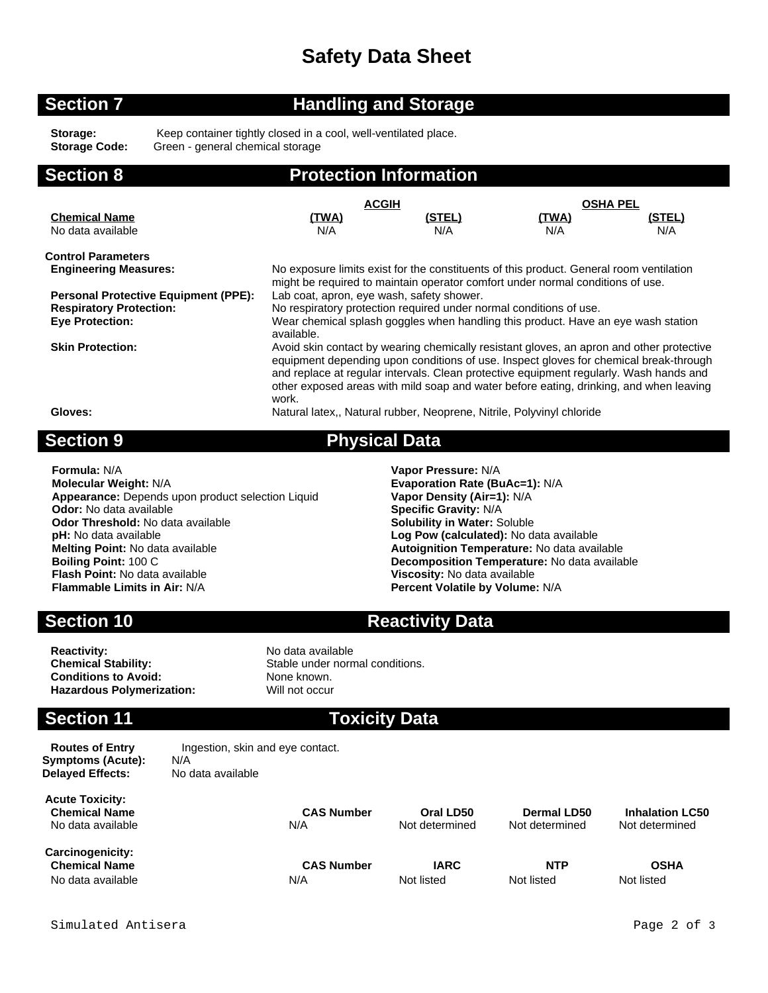# **Safety Data Sheet**

### **Section 7 Handling and Storage**

Storage: Keep container tightly closed in a cool, well-ventilated place.<br>
Storage Code: Green - general chemical storage **Storage Code:** Green - general chemical storage

## **Section 8 Protection Information**

|                                             | <b>ACGIH</b>                                                                                                                                                                                                                                                                                                                                                                   |        | <b>OSHA PEL</b> |        |  |
|---------------------------------------------|--------------------------------------------------------------------------------------------------------------------------------------------------------------------------------------------------------------------------------------------------------------------------------------------------------------------------------------------------------------------------------|--------|-----------------|--------|--|
| <b>Chemical Name</b>                        | <u>(TWA)</u>                                                                                                                                                                                                                                                                                                                                                                   | (STEL) | (TWA)           | (STEL) |  |
| No data available                           | N/A                                                                                                                                                                                                                                                                                                                                                                            | N/A    | N/A             | N/A    |  |
| <b>Control Parameters</b>                   |                                                                                                                                                                                                                                                                                                                                                                                |        |                 |        |  |
| <b>Engineering Measures:</b>                | No exposure limits exist for the constituents of this product. General room ventilation<br>might be required to maintain operator comfort under normal conditions of use.                                                                                                                                                                                                      |        |                 |        |  |
| <b>Personal Protective Equipment (PPE):</b> | Lab coat, apron, eye wash, safety shower.                                                                                                                                                                                                                                                                                                                                      |        |                 |        |  |
| <b>Respiratory Protection:</b>              | No respiratory protection required under normal conditions of use.                                                                                                                                                                                                                                                                                                             |        |                 |        |  |
| <b>Eye Protection:</b>                      | Wear chemical splash goggles when handling this product. Have an eye wash station<br>available.                                                                                                                                                                                                                                                                                |        |                 |        |  |
| <b>Skin Protection:</b>                     | Avoid skin contact by wearing chemically resistant gloves, an apron and other protective<br>equipment depending upon conditions of use. Inspect gloves for chemical break-through<br>and replace at regular intervals. Clean protective equipment regularly. Wash hands and<br>other exposed areas with mild soap and water before eating, drinking, and when leaving<br>work. |        |                 |        |  |
| Gloves:                                     | Natural latex., Natural rubber, Neoprene, Nitrile, Polyvinyl chloride                                                                                                                                                                                                                                                                                                          |        |                 |        |  |

### **Section 9 Physical Data**

**Formula:** N/A **Vapor Pressure:** N/A **Appearance:** Depends upon product selection Liquid **Odor:** No data available **Specific Gravity:** N/A **Odor Threshold:** No data available **Solubility in Water:** Soluble **pH:** No data available **Log Pow (calculated):** No data available **Melting Point:** No data available **Autoignition Temperature:** No data available **Boiling Point:** 100 C<br>**Boiling Point:** 100 C **Flash Point:** No data available **Viscosity:** No data available

**Evaporation Rate (BuAc=1): N/A Vapor Density (Air=1): N/A Decomposition Temperature:** No data available **Percent Volatile by Volume: N/A** 

**Section 10 Reactivity Data** 

**Reactivity:** No data available<br> **Chemical Stability:** No data available<br>
Stable under norr **Conditions to Avoid:** None known.<br> **Hazardous Polymerization:** Will not occur **Hazardous Polymerization:** 

Stable under normal conditions.

### **Section 11 Toxicity Data**

**Symptoms (Acute):** N/A **Delayed Effects:** No data available

**Routes of Entry Ingestion, skin and eye contact.** 

**Acute Toxicity: Chemical Name CAS Number Oral LD50 Dermal LD50 Inhalation LC50** No data available Noticle Noticle And Not determined Not determined Not determined Not determined

**Carcinogenicity: Chemical Name CAS Number IARC NTP OSHA** No data available **N/A** Not listed Not listed Not listed Not listed Not listed